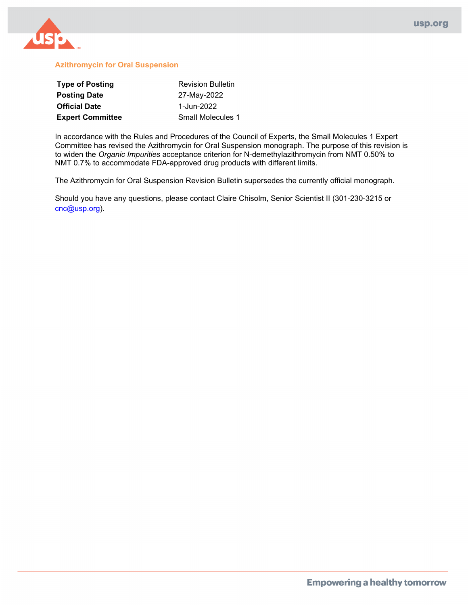

#### **Azithromycin for Oral Suspension**

| <b>Type of Posting</b>  | <b>Revision Bulletin</b> |  |  |
|-------------------------|--------------------------|--|--|
| <b>Posting Date</b>     | 27-May-2022              |  |  |
| <b>Official Date</b>    | 1-Jun-2022               |  |  |
| <b>Expert Committee</b> | <b>Small Molecules 1</b> |  |  |

In accordance with the Rules and Procedures of the Council of Experts, the Small Molecules 1 Expert Committee has revised the Azithromycin for Oral Suspension monograph. The purpose of this revision is to widen the *Organic Impurities* acceptance criterion for N-demethylazithromycin from NMT 0.50% to NMT 0.7% to accommodate FDA-approved drug products with different limits.

The Azithromycin for Oral Suspension Revision Bulletin supersedes the currently official monograph.

Should you have any questions, please contact Claire Chisolm, Senior Scientist II (301-230-3215 or [cnc@usp.org\)](mailto:cnc@usp.org).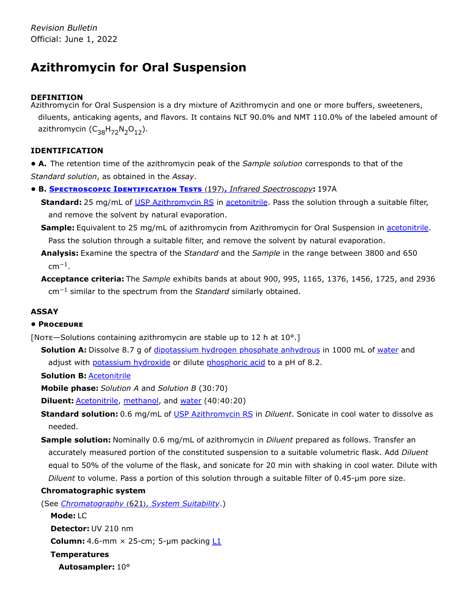# **Azithromycin for Oral Suspension**

# **DEFINITION**

Azithromycin for Oral Suspension is a dry mixture of Azithromycin and one or more buffers, sweeteners, diluents, anticaking agents, and flavors. It contains NLT 90.0% and NMT 110.0% of the labeled amount of azithromycin ( $C_{38}H_{72}N_2O_{12}$ ).

# **IDENTIFICATION**

**• A.** The retention time of the azithromycin peak of the *Sample solution* corresponds to that of the *Standard solution*, as obtained in the *Assay*.

**• B. Spectroscopic Identification Tests** 〈197〉**,** *Infrared Spectroscopy***:** 197A

Standard: 25 mg/mL of [USP Azithromycin](https://store.usp.org/searchresults?Ntt=1046056&searchType=simple&type=search) RS in acetonitrile</u>. Pass the solution through a suitable filter, and remove the solvent by natural evaporation.

**Sample:** Equivalent to 25 mg/mL of azithromycin from Azithromycin for Oral Suspension in acetonitrile. Pass the solution through a suitable filter, and remove the solvent by natural evaporation.

**Analysis:** Examine the spectra of the *Standard* and the *Sample* in the range between 3800 and 650  $cm^{-1}$ .

**Acceptance criteria:** The *Sample* exhibits bands at about 900, 995, 1165, 1376, 1456, 1725, and 2936 cm<sup>-1</sup> similar to the spectrum from the *Standard* similarly obtained.

# **ASSAY**

# **• Procedure**

[Note—Solutions containing azithromycin are stable up to 12 h at  $10^{\circ}$ .]

**Solution A:** Dissolve 8.7 g of *dipotassium hydrogen phosphate anhydrous in 1000 mL of water and* adjust with potassium hydroxide or dilute phosphoric acid to a pH of 8.2.

**Solution B:** Acetonitrile

**Mobile phase:** *Solution A* and *Solution B* (30:70)

**Diluent: Acetonitrile, methanol, and water** (40:40:20)

Standard solution: 0.6 mg/mL of [USP Azithromycin](https://store.usp.org/searchresults?Ntt=1046056&searchType=simple&type=search) RS in *Diluent*. Sonicate in cool water to dissolve as needed.

**Sample solution:** Nominally 0.6 mg/mL of azithromycin in *Diluent* prepared as follows. Transfer an accurately measured portion of the constituted suspension to a suitable volumetric flask. Add *Diluent* equal to 50% of the volume of the flask, and sonicate for 20 min with shaking in cool water. Dilute with *Diluent* to volume. Pass a portion of this solution through a suitable filter of 0.45-µm pore size.

#### **Chromatographic system**

(See *Chromatography* 〈621〉*, System Suitability*.)

```
Mode: LC
Detector: UV 210 nm
Column: 4.6-mm \times 25-cm; 5-µm packing L1Temperatures
 Autosampler: 10°
```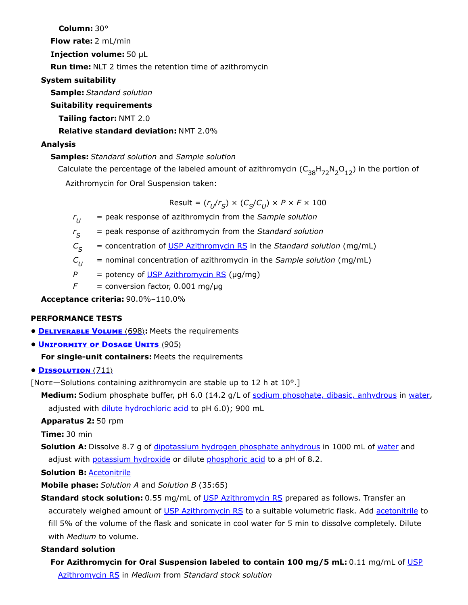**Column:** 30°

**Flow rate:** 2 mL/min

**Injection volume:** 50 µL

**Run time:** NLT 2 times the retention time of azithromycin

# **System suitability**

**Sample:** *Standard solution*

# **Suitability requirements**

**Tailing factor:** NMT 2.0

**Relative standard deviation:** NMT 2.0%

# **Analysis**

# **Samples:** *Standard solution* and *Sample solution*

Calculate the percentage of the labeled amount of azithromycin  $(\mathsf{C}_{38}\mathsf{H}_{72}\mathsf{N}_2\mathsf{O}_{12})$  in the portion of Azithromycin for Oral Suspension taken:

 $Result = (r_U/r_S) \times (C_S/C_U) \times P \times F \times 100$ 

*r* = peak response of azithromycin from the *Sample solution*  $r_{II}$ 

*r* = peak response of azithromycin from the *Standard solution*  $r_{\varsigma}$ 

- *C* = concentration of [USP Azithromycin](https://store.usp.org/searchresults?Ntt=1046056&searchType=simple&type=search) RS in the *Standard solution* (mg/mL)  $C_{\varsigma}$
- *C* = nominal concentration of azithromycin in the *Sample solution* (mg/mL)  $C_{II}$
- $P =$  potency of [USP Azithromycin](https://store.usp.org/searchresults?Ntt=1046056&searchType=simple&type=search) RS ( $\mu$ g/mg)
- $F =$  conversion factor, 0.001 mg/ $\mu$ g

**Acceptance criteria:** 90.0%–110.0%

# **PERFORMANCE TESTS**

- **• Deliverable Volume** 〈698〉**:** Meets the requirements
- **• Uniformity of Dosage Units** 〈905〉

# **For single-unit containers:** Meets the requirements

# **• Dissolution** 〈711〉

[Note—Solutions containing azithromycin are stable up to 12 h at  $10^{\circ}$ .]

**Medium:** Sodium phosphate buffer, pH 6.0 (14.2 g/L of sodium phosphate, dibasic, anhydrous in water, adjusted with dilute hydrochloric acid to pH 6.0); 900 mL

# **Apparatus 2:** 50 rpm

**Time:** 30 min

**Solution A:** Dissolve 8.7 g of *dipotassium hydrogen phosphate anhydrous in 1000 mL of water and* adjust with potassium hydroxide or dilute phosphoric acid to a pH of 8.2.

# **Solution B:** Acetonitrile

**Mobile phase:** *Solution A* and *Solution B* (35:65)

**Standard stock solution:** 0.55 mg/mL of [USP Azithromycin](https://store.usp.org/searchresults?Ntt=1046056&searchType=simple&type=search) RS prepared as follows. Transfer an accurately weighed amount of [USP Azithromycin](https://store.usp.org/searchresults?Ntt=1046056&searchType=simple&type=search) RS to a suitable volumetric flask. Add acetonitrile to fill 5% of the volume of the flask and sonicate in cool water for 5 min to dissolve completely. Dilute with *Medium* to volume.

# **Standard solution**

**For Azithromycin for Oral [Suspension labeled to contain 100 mg/5 mL:](https://store.usp.org/searchresults?Ntt=1046056&searchType=simple&type=search)** 0.11 mg/mL of USP Azithromycin RS in *Medium* from *Standard stock solution*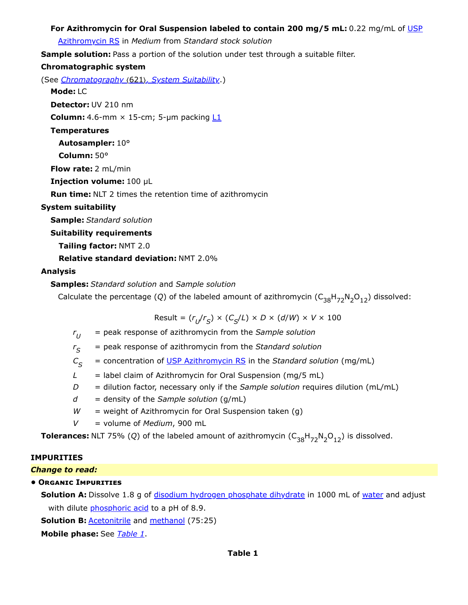### **For Azithromycin for Oral [Suspension labeled to contain 200 mg/5 mL:](https://store.usp.org/searchresults?Ntt=1046056&searchType=simple&type=search)** 0.22 mg/mL of USP

Azithromycin RS in *Medium* from *Standard stock solution*

**Sample solution:** Pass a portion of the solution under test through a suitable filter.

#### **Chromatographic system**

(See *Chromatography* 〈621〉*, System Suitability*.)

#### **Mode:** LC

**Detector:** UV 210 nm

**Column:** 4.6-mm  $\times$  15-cm; 5-µm packing  $L1$ 

**Temperatures**

**Autosampler:** 10°

**Column:** 50°

**Flow rate:** 2 mL/min

**Injection volume:** 100 µL

**Run time:** NLT 2 times the retention time of azithromycin

### **System suitability**

**Sample:** *Standard solution*

#### **Suitability requirements**

**Tailing factor:** NMT 2.0

**Relative standard deviation:** NMT 2.0%

### **Analysis**

### **Samples:** *Standard solution* and *Sample solution*

Calculate the percentage (Q) of the labeled amount of azithromycin  $(\mathsf{C}_{38} \mathsf{H}_{72} \mathsf{N}_2 \mathsf{O}_{12})$  dissolved:

 $Result = (r_U/r_S) \times (C_S/L) \times D \times (d/W) \times V \times 100$ 

- *r* = peak response of azithromycin from the *Sample solution*  $r_U$
- *r* = peak response of azithromycin from the *Standard solution*  $r_{\rm S}$
- *C* = concentration of [USP Azithromycin](https://store.usp.org/searchresults?Ntt=1046056&searchType=simple&type=search) RS in the *Standard solution* (mg/mL)  $C_{\rm c}$
- $L =$  label claim of Azithromycin for Oral Suspension (mg/5 mL)
- *D* = dilution factor, necessary only if the *Sample solution* requires dilution (mL/mL)
- *d* = density of the *Sample solution* (g/mL)
- *W* = weight of Azithromycin for Oral Suspension taken (g)
- *V* = volume of *Medium*, 900 mL

**Tolerances:** NLT 75% (Q) of the labeled amount of azithromycin  $(C_{38}H_{72}N_2O_{12})$  is dissolved.

#### **IMPURITIES**

#### *Change to read:*

# **• Organic Impurities**

**Solution A:** Dissolve 1.8 g of *disodium hydrogen phosphate dihydrate* in 1000 mL of water and adjust with dilute phosphoric acid to a pH of 8.9.

**Solution B: Acetonitrile and methanol** (75:25)

<span id="page-3-0"></span>**Mobile phase:** See *[Table 1](#page-3-0)*.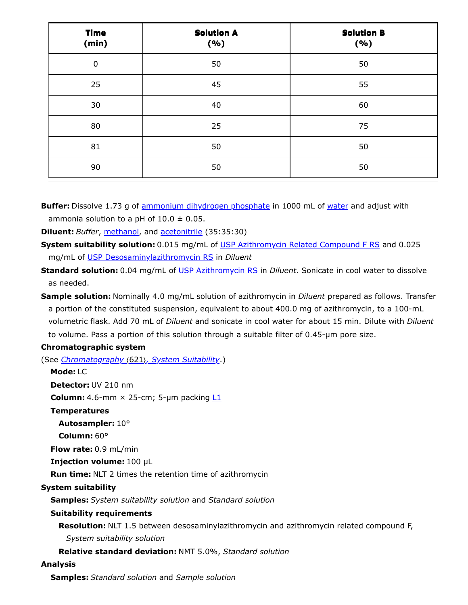| <b>Time</b><br>(min) | <b>Solution A</b><br>(%) | <b>Solution B</b><br>(%) |  |
|----------------------|--------------------------|--------------------------|--|
| $\pmb{0}$            | 50                       | 50                       |  |
| 25                   | 45                       | 55                       |  |
| 30                   | 40                       | 60                       |  |
| 80                   | 25                       | 75                       |  |
| 81                   | 50                       | 50                       |  |
| 90                   | 50                       | 50                       |  |

**Buffer:** Dissolve 1.73 g of ammonium dihydrogen phosphate in 1000 mL of water and adjust with ammonia solution to a pH of  $10.0 \pm 0.05$ .

**Diluent:** *Buffer*, methanol, and acetonitrile (35:35:30)

**System suitability solution:** 0.015 mg/mL of USP Azithromycin [Related Compound F RS](https://store.usp.org/searchresults?Ntt=1046045&searchType=simple&type=search) and 0.025 mg/mL of USP [Desosaminylazithromycin RS](https://store.usp.org/searchresults?Ntt=1046078&searchType=simple&type=search) in *Diluent*

**Standard solution:** 0.04 mg/mL of [USP Azithromycin](https://store.usp.org/searchresults?Ntt=1046056&searchType=simple&type=search) RS in *Diluent*. Sonicate in cool water to dissolve as needed.

**Sample solution:** Nominally 4.0 mg/mL solution of azithromycin in *Diluent* prepared as follows. Transfer a portion of the constituted suspension, equivalent to about 400.0 mg of azithromycin, to a 100-mL volumetric flask. Add 70 mL of *Diluent* and sonicate in cool water for about 15 min. Dilute with *Diluent* to volume. Pass a portion of this solution through a suitable filter of 0.45-µm pore size.

# **Chromatographic system**

(See *Chromatography* 〈621〉*, System Suitability*.)

**Mode:** LC

**Detector:** UV 210 nm

**Column:** 4.6-mm  $\times$  25-cm; 5-µm packing  $L1$ 

**Temperatures**

**Autosampler:** 10°

**Column:** 60°

**Flow rate:** 0.9 mL/min

**Injection volume:** 100 µL

**Run time:** NLT 2 times the retention time of azithromycin

# **System suitability**

**Samples:** *System suitability solution* and *Standard solution*

# **Suitability requirements**

**Resolution:** NLT 1.5 between desosaminylazithromycin and azithromycin related compound F,

*System suitability solution*

**Relative standard deviation:** NMT 5.0%, *Standard solution*

# **Analysis**

**Samples:** *Standard solution* and *Sample solution*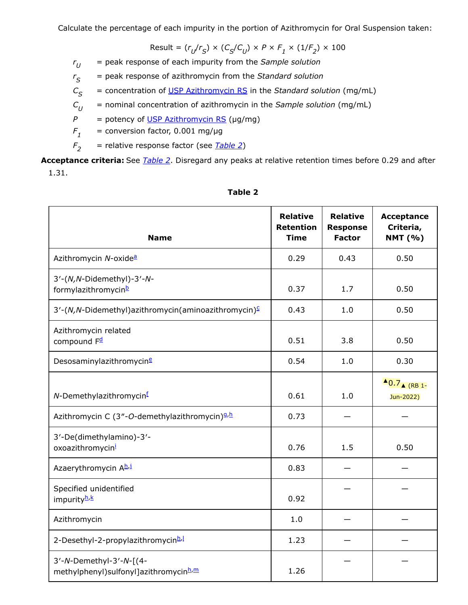Calculate the percentage of each impurity in the portion of Azithromycin for Oral Suspension taken:

$$
\text{Result} = (r_U/r_S) \times (C_S/C_U) \times P \times F_1 \times (1/F_2) \times 100
$$

*r* = peak response of each impurity from the *Sample solution*  $r_U$ 

*r* = peak response of azithromycin from the *Standard solution*  $r_S$ 

*C* = concentration of [USP Azithromycin](https://store.usp.org/searchresults?Ntt=1046056&searchType=simple&type=search) RS in the *Standard solution* (mg/mL)  $C_S$ 

*C* = nominal concentration of azithromycin in the *Sample solution* (mg/mL)  $C_{II}$ 

 $P =$  potency of [USP Azithromycin](https://store.usp.org/searchresults?Ntt=1046056&searchType=simple&type=search) RS ( $\mu$ g/mg)

*F* = conversion factor, 0.001 mg/µg  $F_{1}$ 

*F* = relative response factor (see *[Table 2](#page-5-0)*)  $F<sub>2</sub>$ 

**Acceptance criteria:** See *[Table 2](#page-5-0)*. Disregard any peaks at relative retention times before 0.29 and after 1.31.

<span id="page-5-0"></span>

| <b>Name</b>                                                                  | <b>Relative</b><br><b>Retention</b><br><b>Time</b> | <b>Relative</b><br><b>Response</b><br><b>Factor</b> | <b>Acceptance</b><br>Criteria,<br><b>NMT</b> (%) |
|------------------------------------------------------------------------------|----------------------------------------------------|-----------------------------------------------------|--------------------------------------------------|
| Azithromycin N-oxide <sup>a</sup>                                            | 0.29                                               | 0.43                                                | 0.50                                             |
| 3'-(N, N-Didemethyl)-3'-N-<br>formylazithromycinb                            | 0.37                                               | 1.7                                                 | 0.50                                             |
| 3'-(N,N-Didemethyl)azithromycin(aminoazithromycin) <sup>⊆</sup>              | 0.43                                               | 1.0                                                 | 0.50                                             |
| Azithromycin related<br>compound F <sup>d</sup>                              | 0.51                                               | 3.8                                                 | 0.50                                             |
| Desosaminylazithromycin <sup>e</sup>                                         | 0.54                                               | 1.0                                                 | 0.30                                             |
| N-Demethylazithromycin <sup>f</sup>                                          | 0.61                                               | 1.0                                                 | $\triangle$ 0.7 $\triangle$ (RB 1-<br>Jun-2022)  |
| Azithromycin C (3"-O-demethylazithromycin) <sup>9,h</sup>                    | 0.73                                               |                                                     |                                                  |
| 3'-De(dimethylamino)-3'-<br>oxoazithromycin                                  | 0.76                                               | 1.5                                                 | 0.50                                             |
| Azaerythromycin Ah,j                                                         | 0.83                                               |                                                     |                                                  |
| Specified unidentified<br>impurityh <sup>.k</sup>                            | 0.92                                               |                                                     |                                                  |
| Azithromycin                                                                 | 1.0                                                |                                                     |                                                  |
| 2-Desethyl-2-propylazithromycinh.                                            | 1.23                                               |                                                     |                                                  |
| 3'-N-Demethyl-3'-N-[(4-<br>methylphenyl)sulfonyl]azithromycinh <sup>,m</sup> | 1.26                                               |                                                     |                                                  |

#### **Table 2**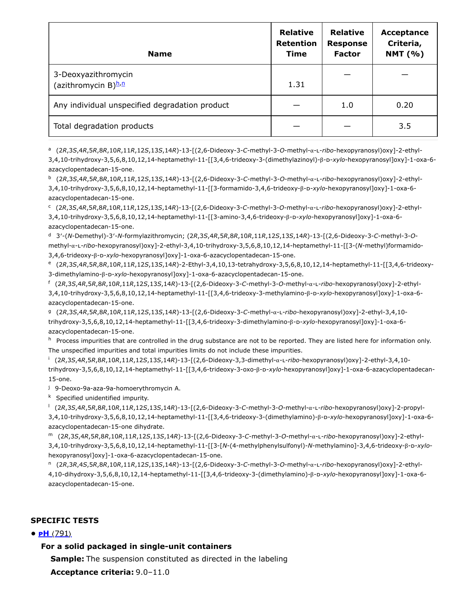| <b>Name</b>                                    | <b>Relative</b><br><b>Retention</b><br><b>Time</b> | <b>Relative</b><br><b>Response</b><br><b>Factor</b> | Acceptance<br>Criteria,<br><b>NMT</b> (%) |
|------------------------------------------------|----------------------------------------------------|-----------------------------------------------------|-------------------------------------------|
| 3-Deoxyazithromycin<br>(azithromycin B)h,n     | 1.31                                               |                                                     |                                           |
| Any individual unspecified degradation product |                                                    | 1.0                                                 | 0.20                                      |
| Total degradation products                     |                                                    |                                                     | 3.5                                       |

<span id="page-6-0"></span>(2*R*,3*S*,4*R*,5*R*,8*R*,10*R*,11*R*,12*S*,13*S*,14*R*)-13-[(2,6-Dideoxy-3-*C*-methyl-3-*O*-methyl-α-l-*ribo*-hexopyranosyl)oxy]-2-ethyl-a 3,4,10-trihydroxy-3,5,6,8,10,12,14-heptamethyl-11-[[3,4,6-trideoxy-3-(dimethylazinoyl)-β-d-*xylo*-hexopyranosyl]oxy]-1-oxa-6 azacyclopentadecan-15-one.

<span id="page-6-1"></span>(2*R*,3*S*,4*R*,5*R*,8*R*,10*R*,11*R*,12*S*,13*S*,14*R*)-13-[(2,6-Dideoxy-3-*C*-methyl-3-*O*-methyl-α-l-*ribo*-hexopyranosyl)oxy]-2-ethyl-b 3,4,10-trihydroxy-3,5,6,8,10,12,14-heptamethyl-11-[[3-formamido-3,4,6-trideoxy-β-d-*xylo*-hexopyranosyl]oxy]-1-oxa-6 azacyclopentadecan-15-one.

<span id="page-6-2"></span>(2*R*,3*S*,4*R*,5*R*,8*R*,10*R*,11*R*,12*S*,13*S*,14*R*)-13-[(2,6-Dideoxy-3-*C*-methyl-3-*O*-methyl-α-l-*ribo*-hexopyranosyl)oxy]-2-ethyl-c 3,4,10-trihydroxy-3,5,6,8,10,12,14-heptamethyl-11-[[3-amino-3,4,6-trideoxy-β-d-*xylo*-hexopyranosyl]oxy]-1-oxa-6 azacyclopentadecan-15-one.

<span id="page-6-3"></span>3′-(*N*-Demethyl)-3′-*N*-formylazithromycin; (2*R*,3*S*,4*R*,5*R*,8*R*,10*R*,11*R*,12*S*,13*S*,14*R*)-13-[(2,6-Dideoxy-3-*C*-methyl-3-*O*-d methyl-α-l-*ribo*-hexopyranosyl)oxy]-2-ethyl-3,4,10-trihydroxy-3,5,6,8,10,12,14-heptamethyl-11-[[3-(*N*-methyl)formamido-3,4,6-trideoxy-β-d-*xylo*-hexopyranosyl]oxy]-1-oxa-6-azacyclopentadecan-15-one.

<span id="page-6-4"></span>(2*R*,3*S*,4*R*,5*R*,8*R*,10*R*,11*R*,12*S*,13*S*,14*R*)-2-Ethyl-3,4,10,13-tetrahydroxy-3,5,6,8,10,12,14-heptamethyl-11-[[3,4,6-trideoxy-e 3-dimethylamino-β-d-*xylo*-hexopyranosyl]oxy]-1-oxa-6-azacyclopentadecan-15-one.

<span id="page-6-5"></span>(2*R*,3*S*,4*R*,5*R*,8*R*,10*R*,11*R*,12*S*,13*S*,14*R*)-13-[(2,6-Dideoxy-3-*C*-methyl-3-*O*-methyl-α-l-*ribo*-hexopyranosyl)oxy]-2-ethyl-f 3,4,10-trihydroxy-3,5,6,8,10,12,14-heptamethyl-11-[[3,4,6-trideoxy-3-methylamino-β-d-*xylo*-hexopyranosyl]oxy]-1-oxa-6 azacyclopentadecan-15-one.

<span id="page-6-6"></span>(2*R*,3*S*,4*R*,5*R*,8*R*,10*R*,11*R*,12*S*,13*S*,14*R*)-13-[(2,6-Dideoxy-3-*C*-methyl-α-l-*ribo*-hexopyranosyl)oxy]-2-ethyl-3,4,10- g trihydroxy-3,5,6,8,10,12,14-heptamethyl-11-[[3,4,6-trideoxy-3-dimethylamino-β-d-*xylo*-hexopyranosyl]oxy]-1-oxa-6 azacyclopentadecan-15-one.

<span id="page-6-7"></span><sup>h</sup> Process impurities that are controlled in the drug substance are not to be reported. They are listed here for information only. The unspecified impurities and total impurities limits do not include these impurities.

<span id="page-6-8"></span>(2*R*,3*S*,4*R*,5*R*,8*R*,10*R*,11*R*,12*S*,13*S*,14*R*)-13-[(2,6-Dideoxy-3,3-dimethyl-α-l-*ribo*-hexopyranosyl)oxy]-2-ethyl-3,4,10- i trihydroxy-3,5,6,8,10,12,14-heptamethyl-11-[[3,4,6-trideoxy-3-oxo-β-d-*xylo*-hexopyranosyl]oxy]-1-oxa-6-azacyclopentadecan-15-one.

<span id="page-6-9"></span><sup>j</sup> 9-Deoxo-9a-aza-9a-homoerythromycin A.

<span id="page-6-10"></span><sup>k</sup> Specified unidentified impurity.

<span id="page-6-11"></span>(2*R*,3*S*,4*R*,5*R*,8*R*,10*R*,11*R*,12*S*,13*S*,14*R*)-13-[(2,6-Dideoxy-3-*C*-methyl-3-*O*-methyl-α-l-*ribo*-hexopyranosyl)oxy]-2-propyl-l 3,4,10-trihydroxy-3,5,6,8,10,12,14-heptamethyl-11-[[3,4,6-trideoxy-3-(dimethylamino)-β-d-*xylo*-hexopyranosyl]oxy]-1-oxa-6 azacyclopentadecan-15-one dihydrate.

<span id="page-6-12"></span>(2*R*,3*S*,4*R*,5*R*,8*R*,10*R*,11*R*,12*S*,13*S*,14*R*)-13-[(2,6-Dideoxy-3-*C*-methyl-3-*O*-methyl-α-l-*ribo*-hexopyranosyl)oxy]-2-ethyl-m 3,4,10-trihydroxy-3,5,6,8,10,12,14-heptamethyl-11-[[3-[*N*-(4-methylphenylsulfonyl)-*N*-methylamino]-3,4,6-trideoxy-β-d-*xylo*hexopyranosyl]oxy]-1-oxa-6-azacyclopentadecan-15-one.

<span id="page-6-13"></span>(2*R*,3*R*,4*S*,5*R*,8*R*,10*R*,11*R*,12*S*,13*S*,14*R*)-13-[(2,6-Dideoxy-3-*C*-methyl-3-*O*-methyl-α-l-*ribo*-hexopyranosyl)oxy]-2-ethyl-n

4,10-dihydroxy-3,5,6,8,10,12,14-heptamethyl-11-[[3,4,6-trideoxy-3-(dimethylamino)-β-d-*xylo*-hexopyranosyl]oxy]-1-oxa-6 azacyclopentadecan-15-one.

# **SPECIFIC TESTS**

#### **• pH** 〈791〉

#### **For a solid packaged in single-unit containers**

**Sample:** The suspension constituted as directed in the labeling

**Acceptance criteria:** 9.0–11.0